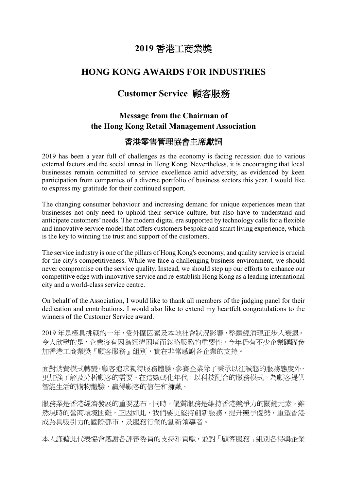# **2019** 香港工商業獎

## **HONG KONG AWARDS FOR INDUSTRIES**

# **Customer Service** 顧客服務

# **Message from the Chairman of the Hong Kong Retail Management Association**

## 香港零售管理協會主席獻詞

2019 has been a year full of challenges as the economy is facing recession due to various external factors and the social unrest in Hong Kong. Nevertheless, it is encouraging that local businesses remain committed to service excellence amid adversity, as evidenced by keen participation from companies of a diverse portfolio of business sectors this year. I would like to express my gratitude for their continued support.

The changing consumer behaviour and increasing demand for unique experiences mean that businesses not only need to uphold their service culture, but also have to understand and anticipate customers' needs. The modern digital era supported by technology calls for a flexible and innovative service model that offers customers bespoke and smart living experience, which is the key to winning the trust and support of the customers.

The service industry is one of the pillars of Hong Kong's economy, and quality service is crucial for the city's competitiveness. While we face a challenging business environment, we should never compromise on the service quality. Instead, we should step up our efforts to enhance our competitive edge with innovative service and re-establish Hong Kong as a leading international city and a world-class service centre.

On behalf of the Association, I would like to thank all members of the judging panel for their dedication and contributions. I would also like to extend my heartfelt congratulations to the winners of the Customer Service award.

2019 年是極具挑戰的一年,受外圍因素及本地社會狀況影響,整體經濟現正步入衰退。 令人欣慰的是,企業沒有因為經濟困境而忽略服務的重要性,今年仍有不少企業踴躍參 加香港工商業獎『顧客服務』組別,實在非常感謝各企業的支持。

面對消費模式轉變,顧客追求獨特服務體驗,參賽企業除了秉承以往誠懇的服務態度外, 更加強了解及分析顧客的需要。在這數碼化年代,以科技配合的服務模式,為顧客提供 智能生活的購物體驗,贏得顧客的信任和擁戴。

服務業是香港經濟發展的重要基石,同時,優質服務是維持香港競爭力的關鍵元素。雖 然現時的營商環境困難,正因如此,我們要更堅持創新服務,提升競爭優勢,重塑香港 成為具吸引力的國際都市,及服務行業的創新領導者。

本人謹藉此代表協會感謝各評審委員的支持和貢獻,並對「顧客服務」組別各得獎企業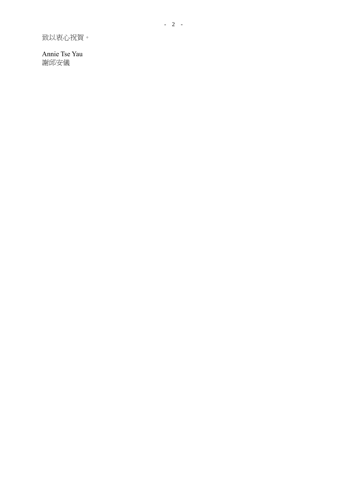致以衷心祝賀。

Annie Tse Yau 謝邱安儀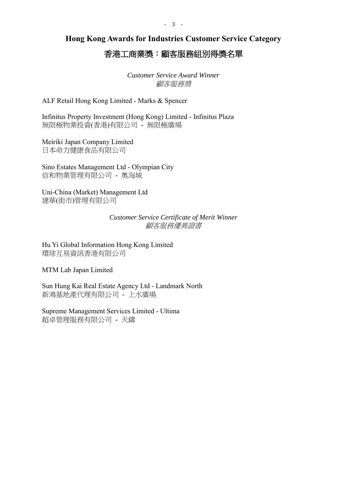**Hong Kong Awards for Industries Customer Service Category**

## 香港工商業獎:顧客服務組別得獎名單

*Customer Service Award Winner* 顧客服務獎

ALF Retail Hong Kong Limited - Marks & Spencer

Infinitus Property Investment (Hong Kong) Limited - Infinitus Plaza 無限極物業投資(香港)有限公司 - 無限極廣場

Meiriki Japan Company Limited 日本命力健康食品有限公司

Sino Estates Management Ltd - Olympian City 信和物業管理有限公司 - 奧海城

Uni-China (Market) Management Ltd 建華(街市)管理有限公司

> *Customer Service Certificate of Merit Winner* 顧客服務優異證書

Hu Yi Global Information Hong Kong Limited 環球互易資訊香港有限公司

MTM Lab Japan Limited

Sun Hung Kai Real Estate Agency Ltd - Landmark North 新鴻基地產代理有限公司 - 上水廣場

Supreme Management Services Limited - Ultima 超卓管理服務有限公司 - 天鑄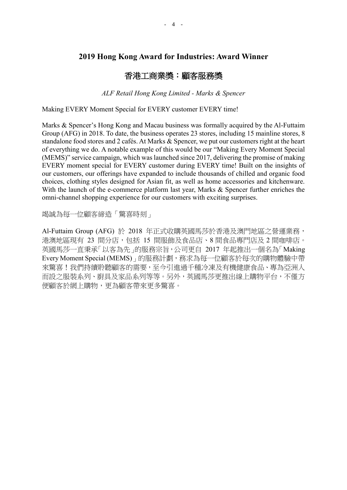### 香港工商業獎:顧客服務獎

*ALF Retail Hong Kong Limited - Marks & Spencer*

Making EVERY Moment Special for EVERY customer EVERY time!

Marks & Spencer's Hong Kong and Macau business was formally acquired by the Al-Futtaim Group (AFG) in 2018. To date, the business operates 23 stores, including 15 mainline stores, 8 standalone food stores and 2 cafés. At Marks & Spencer, we put our customers right at the heart of everything we do. A notable example of this would be our "Making Every Moment Special (MEMS)" service campaign, which was launched since 2017, delivering the promise of making EVERY moment special for EVERY customer during EVERY time! Built on the insights of our customers, our offerings have expanded to include thousands of chilled and organic food choices, clothing styles designed for Asian fit, as well as home accessories and kitchenware. With the launch of the e-commerce platform last year, Marks & Spencer further enriches the omni-channel shopping experience for our customers with exciting surprises.

竭誠為每一位顧客締造「驚喜時刻」

Al-Futtaim Group (AFG) 於 2018 年正式收購英國馬莎於香港及澳門地區之營運業務, 港澳地區現有 23 間分店,包括 15 間服飾及食品店、8 間食品專門店及 2 間咖啡店。 英國馬莎一直秉承「以客為先」的服務宗旨,公司更自 2017 年起推出一個名為「Making Every Moment Special (MEMS)」的服務計劃,務求為每一位顧客於每次的購物體驗中帶 來驚喜!我們持續聆聽顧客的需要,至今引進過千種冷凍及有機健康食品、專為亞洲人 而設之服裝系列、廚具及家品系列等等。另外,英國馬莎更推出線上購物平台,不僅方 便顧客於網上購物,更為顧客帶來更多驚喜。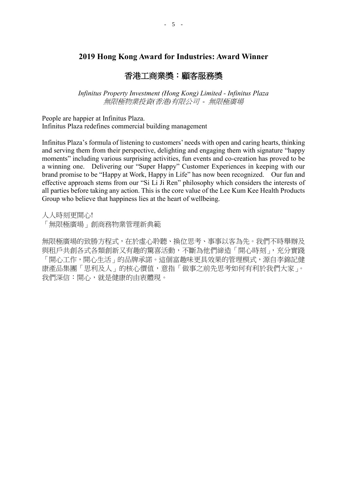### 香港工商業獎:顧客服務獎

*Infinitus Property Investment (Hong Kong) Limited - Infinitus Plaza* 無限極物業投資*(*香港*)*有限公司 *-* 無限極廣場

People are happier at Infinitus Plaza. Infinitus Plaza redefines commercial building management

Infinitus Plaza's formula of listening to customers' needs with open and caring hearts, thinking and serving them from their perspective, delighting and engaging them with signature "happy moments" including various surprising activities, fun events and co-creation has proved to be a winning one. Delivering our "Super Happy" Customer Experiences in keeping with our brand promise to be "Happy at Work, Happy in Life" has now been recognized. Our fun and effective approach stems from our "Si Li Ji Ren" philosophy which considers the interests of all parties before taking any action. This is the core value of the Lee Kum Kee Health Products Group who believe that happiness lies at the heart of wellbeing.

人人時刻更開心!

「無限極廣場」創商務物業管理新典範

無限極廣場的致勝方程式,在於虛心聆聽、換位思考、事事以客為先。我們不時舉辦及 與租戶共創各式各類創新又有趣的驚喜活動,不斷為他們締造「開心時刻」,充分實踐 「開心工作,開心生活」的品牌承諾。這個富趣味更具效果的管理模式,源自李錦記健 康產品集團「思利及人」的核心價值,意指「做事之前先思考如何有利於我們大家」。 我們深信:開心,就是健康的由衷體現。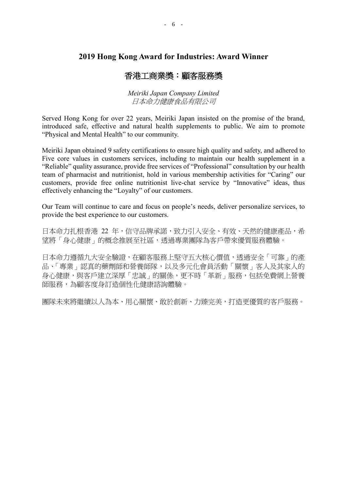### 香港工商業獎:顧客服務獎

*Meiriki Japan Company Limited* 日本命力健康食品有限公司

Served Hong Kong for over 22 years, Meiriki Japan insisted on the promise of the brand, introduced safe, effective and natural health supplements to public. We aim to promote "Physical and Mental Health" to our community.

Meiriki Japan obtained 9 safety certifications to ensure high quality and safety, and adhered to Five core values in customers services, including to maintain our health supplement in a "Reliable" quality assurance, provide free services of "Professional" consultation by our health team of pharmacist and nutritionist, hold in various membership activities for "Caring" our customers, provide free online nutritionist live-chat service by "Innovative" ideas, thus effectively enhancing the "Loyalty" of our customers.

Our Team will continue to care and focus on people's needs, deliver personalize services, to provide the best experience to our customers.

日本命力扎根香港 22 年,信守品牌承諾,致力引入安全、有效、天然的健康產品,希 望將「身心健康」的概念推展至社區,透過專業團隊為客戶帶來優質服務體驗。

日本命力遵循九大安全驗證,在顧客服務上堅守五大核心價值,透過安全「可靠」的產 品、「專業」認真的藥劑師和營養師隊,以及多元化會員活動「關懷」客人及其家人的 身心健康,與客戶建立深厚「忠誠」的關係,更不時「革新」服務,包括免費網上營養 師服務,為顧客度身訂造個性化健康諮詢體驗。

團隊未來將繼續以人為本、用心關懷、敢於創新、力臻完美,打造更優質的客戶服務。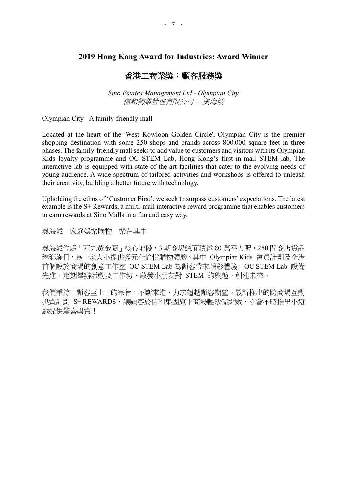### 香港工商業獎:顧客服務獎

*Sino Estates Management Ltd - Olympian City* 信和物業管理有限公司 *-* 奧海城

Olympian City - A family-friendly mall

Located at the heart of the 'West Kowloon Golden Circle', Olympian City is the premier shopping destination with some 250 shops and brands across 800,000 square feet in three phases. The family-friendly mall seeks to add value to customers and visitors with its Olympian Kids loyalty programme and OC STEM Lab, Hong Kong's first in-mall STEM lab. The interactive lab is equipped with state-of-the-art facilities that cater to the evolving needs of young audience. A wide spectrum of tailored activities and workshops is offered to unleash their creativity, building a better future with technology.

Upholding the ethos of 'Customer First', we seek to surpass customers' expectations. The latest example is the S+ Rewards, a multi-mall interactive reward programme that enables customers to earn rewards at Sino Malls in a fun and easy way.

奧海城—家庭娛樂購物 樂在其中

奧海城位處「西九黃金圈」核心地段,3 期商場總面積達 80 萬平方呎,250 間商店貨品 琳瑯滿目,為一家大小提供多元化愉悅購物體驗。其中 Olympian Kids 會員計劃及全港 首個設於商場的創意工作室 OC STEM Lab 為顧客帶來精彩體驗。OC STEM Lab 設備 先進,定期舉辦活動及工作坊,啟發小朋友對 STEM 的興趣,創建未來。

我們秉持「顧客至上」的宗旨,不斷求進,力求超越顧客期望。最新推出的跨商場互動 獎賞計劃 S+REWARDS,讓顧客於信和集團旗下商場輕鬆儲點數,亦會不時推出小遊 戲提供驚喜獎賞!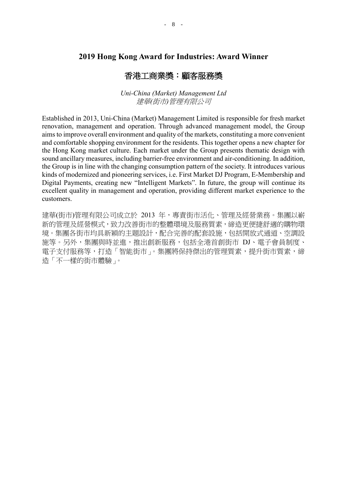### 香港工商業獎:顧客服務獎

*Uni-China (Market) Management Ltd* 建華*(*街市*)*管理有限公司

Established in 2013, Uni-China (Market) Management Limited is responsible for fresh market renovation, management and operation. Through advanced management model, the Group aims to improve overall environment and quality of the markets, constituting a more convenient and comfortable shopping environment for the residents. This together opens a new chapter for the Hong Kong market culture. Each market under the Group presents thematic design with sound ancillary measures, including barrier-free environment and air-conditioning. In addition, the Group is in line with the changing consumption pattern of the society. It introduces various kinds of modernized and pioneering services, i.e. First Market DJ Program, E-Membership and Digital Payments, creating new "Intelligent Markets". In future, the group will continue its excellent quality in management and operation, providing different market experience to the customers.

建華(街市)管理有限公司成立於 2013 年,專責街市活化、管理及經營業務。集團以嶄 新的管理及經營模式,致力改善街市的整體環境及服務質素,締造更便捷舒適的購物環 境。集團各街市均具新穎的主題設計,配合完善的配套設施,包括開放式通道、空調設 施等。另外,集團與時並進,推出創新服務,包括全港首創街市 DJ、電子會員制度、 電子支付服務等,打造「智能街市」。集團將保持傑出的管理質素,提升街市質素,締 造「不一樣的街市體驗」。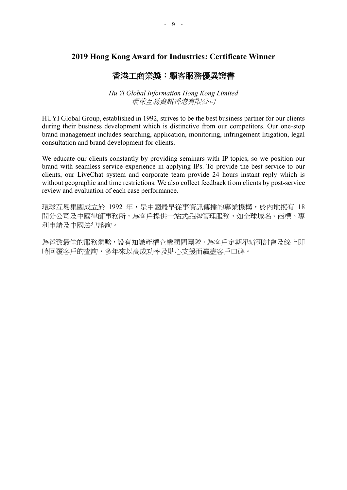## 香港工商業獎:顧客服務優異證書

#### *Hu Yi Global Information Hong Kong Limited* 環球互易資訊香港有限公司

HUYI Global Group, established in 1992, strives to be the best business partner for our clients during their business development which is distinctive from our competitors. Our one-stop brand management includes searching, application, monitoring, infringement litigation, legal consultation and brand development for clients.

We educate our clients constantly by providing seminars with IP topics, so we position our brand with seamless service experience in applying IPs. To provide the best service to our clients, our LiveChat system and corporate team provide 24 hours instant reply which is without geographic and time restrictions. We also collect feedback from clients by post-service review and evaluation of each case performance.

環球互易集團成立於 1992 年,是中國最早從事資訊傳播的專業機構,於內地擁有 18 間分公司及中國律師事務所,為客戶提供一站式品牌管理服務,如全球域名、商標、專 利申請及中國法律諮詢。

為達致最佳的服務體驗,設有知識產權企業顧問團隊,為客戶定期舉辦研討會及線上即 時回覆客戶的查詢,多年來以高成功率及貼心支援而贏盡客戶口碑。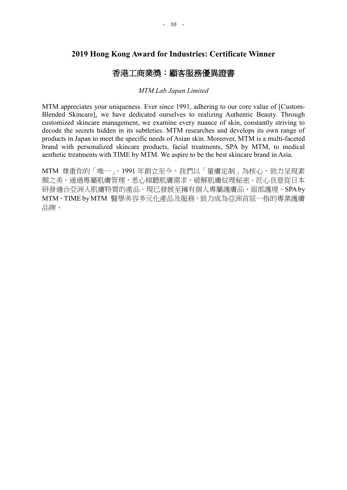## 香港工商業獎:顧客服務優異證書

#### *MTM Lab Japan Limited*

MTM appreciates your uniqueness. Ever since 1991, adhering to our core value of [Custom-Blended Skincare], we have dedicated ourselves to realizing Authentic Beauty. Through customized skincare management, we examine every nuance of skin, constantly striving to decode the secrets hidden in its subtleties. MTM researches and develops its own range of products in Japan to meet the specific needs of Asian skin. Moreover, MTM is a multi-faceted brand with personalized skincare products, facial treatments, SPA by MTM, to medical aesthetic treatments with TIME by MTM. We aspire to be the best skincare brand in Asia.

MTM 尊重你的「唯一」,1991年創立至今,我們以「量膚定制」為核心,致力呈現素 顔之美。通過專屬肌膚管理,悉心傾聽肌膚需求,破解肌膚紋理秘密。匠心良意從日本 研發適合亞洲人肌膚特質的產品。現已發展至擁有個人專屬護膚品、面部護理、SPA by MTM、TIME by MTM 醫學美容多元化產品及服務,致力成為亞洲首屈一指的專業護膚 品牌。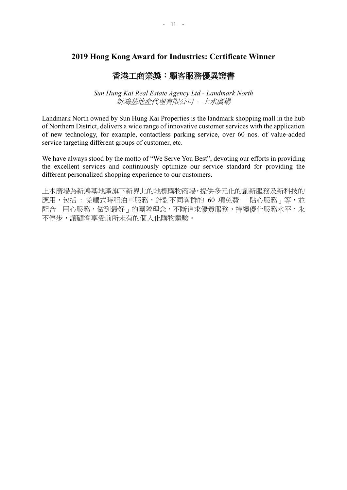## 香港工商業獎:顧客服務優異證書

*Sun Hung Kai Real Estate Agency Ltd - Landmark North* 新鴻基地產代理有限公司 *-* 上水廣場

Landmark North owned by Sun Hung Kai Properties is the landmark shopping mall in the hub of Northern District, delivers a wide range of innovative customer services with the application of new technology, for example, contactless parking service, over 60 nos. of value-added service targeting different groups of customer, etc.

We have always stood by the motto of "We Serve You Best", devoting our efforts in providing the excellent services and continuously optimize our service standard for providing the different personalized shopping experience to our customers.

上水廣場為新鴻基地產旗下新界北的地標購物商場,提供多元化的創新服務及新科技的 應用,包括 : 免觸式時租泊車服務,針對不同客群的 60 項免費 「貼心服務」等,並 配合「用心服務,做到最好」的團隊理念,不斷追求優質服務,持續優化服務水平,永 不停步,讓顧客享受前所未有的個人化購物體驗。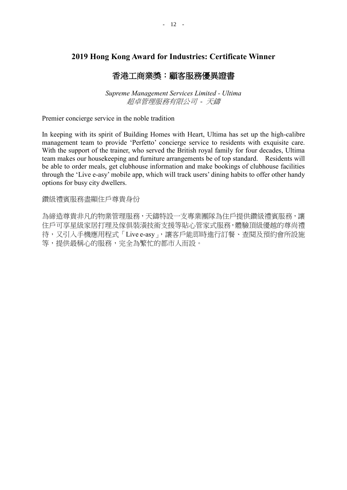## 香港工商業獎:顧客服務優異證書

*Supreme Management Services Limited - Ultima* 超卓管理服務有限公司 *-* 天鑄

Premier concierge service in the noble tradition

In keeping with its spirit of Building Homes with Heart, Ultima has set up the high-calibre management team to provide 'Perfetto' concierge service to residents with exquisite care. With the support of the trainer, who served the British royal family for four decades, Ultima team makes our housekeeping and furniture arrangements be of top standard. Residents will be able to order meals, get clubhouse information and make bookings of clubhouse facilities through the 'Live e-asy' mobile app, which will track users' dining habits to offer other handy options for busy city dwellers.

鑽級禮賓服務盡顯住戶尊貴身份

為締造尊貴非凡的物業管理服務,天鑄特設一支專業團隊為住戶提供鑽級禮賓服務,讓 住戶可享星級家居打理及傢俱裝潢技術支援等貼心管家式服務,體驗頂級優越的尊尚禮 待,又引入手機應用程式「Live e-asy」,讓客戶能即時進行訂餐、查閱及預約會所設施 等,提供最稱心的服務,完全為繁忙的都市人而設。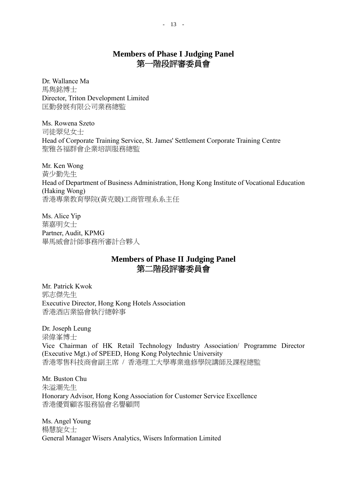## **Members of Phase I Judging Panel** 第一階段評審委員會

Dr. Wallance Ma 馬雋銘博士 Director, Triton Development Limited 匡勤發展有限公司業務總監

Ms. Rowena Szeto 司徒翠兒女士 Head of Corporate Training Service, St. James' Settlement Corporate Training Centre 聖雅各福群會企業培訓服務總監

Mr. Ken Wong 黃少勤先生 Head of Department of Business Administration, Hong Kong Institute of Vocational Education (Haking Wong) 香港專業教育學院(黃克競)工商管理系系主任

Ms. Alice Yip 葉嘉明女士 Partner, Audit, KPMG 畢馬威會計師事務所審計合夥人

## **Members of Phase II Judging Panel** 第二階段評審委員會

Mr. Patrick Kwok 郭志傑先生 Executive Director, Hong Kong Hotels Association 香港酒店業協會執行總幹事

Dr. Joseph Leung 梁偉峯博士 Vice Chairman of HK Retail Technology Industry Association/ Programme Director (Executive Mgt.) of SPEED, Hong Kong Polytechnic University 香港零售科技商會副主席 / 香港理工大學專業進修學院講師及課程總監

Mr. Buston Chu 朱溢潮先生 Honorary Advisor, Hong Kong Association for Customer Service Excellence 香港優質顧客服務協會名譽顧問

Ms. Angel Young 楊慧旋女士 General Manager Wisers Analytics, Wisers Information Limited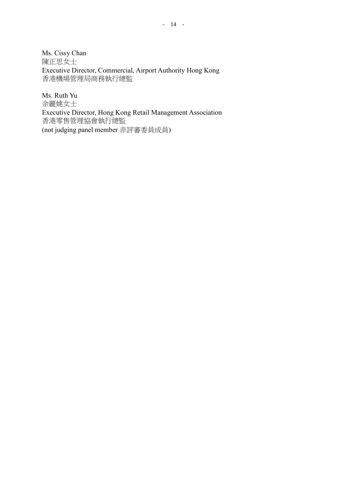Ms. Cissy Chan 陳正思女士 Executive Director, Commercial, Airport Authority Hong Kong 香港機場管理局商務執行總監

Ms. Ruth Yu 余麗姚女士 Executive Director, Hong Kong Retail Management Association 香港零售管理協會執行總監 (not judging panel member 非評審委員成員)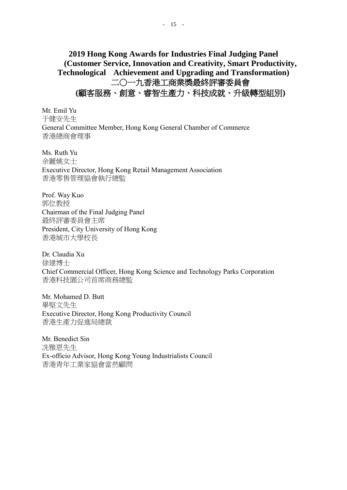Mr. Emil Yu 于健安先生 General Committee Member, Hong Kong General Chamber of Commerce 香港總商會理事

Ms. Ruth Yu 余麗姚女士 Executive Director, Hong Kong Retail Management Association 香港零售管理協會執行總監

Prof. Way Kuo 郭位教授 Chairman of the Final Judging Panel 最終評審委員會主席 President, City University of Hong Kong 香港城市大學校長

Dr. Claudia Xu 徐建博士 Chief Commercial Officer, Hong Kong Science and Technology Parks Corporation 香港科技園公司首席商務總監

Mr. Mohamed D. Butt 畢堅文先生 Executive Director, Hong Kong Productivity Council 香港生產力促進局總裁

Mr. Benedict Sin 冼雅恩先生 Ex-officio Advisor, Hong Kong Young Industrialists Council 香港青年工業家協會當然顧問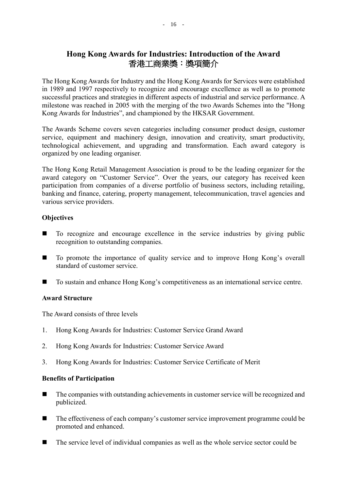## **Hong Kong Awards for Industries: Introduction of the Award** 香港工商業獎:獎項簡介

The Hong Kong Awards for Industry and the Hong Kong Awards for Services were established in 1989 and 1997 respectively to recognize and encourage excellence as well as to promote successful practices and strategies in different aspects of industrial and service performance. A milestone was reached in 2005 with the merging of the two Awards Schemes into the "Hong Kong Awards for Industries", and championed by the HKSAR Government.

The Awards Scheme covers seven categories including consumer product design, customer service, equipment and machinery design, innovation and creativity, smart productivity, technological achievement, and upgrading and transformation. Each award category is organized by one leading organiser.

The Hong Kong Retail Management Association is proud to be the leading organizer for the award category on "Customer Service". Over the years, our category has received keen participation from companies of a diverse portfolio of business sectors, including retailing, banking and finance, catering, property management, telecommunication, travel agencies and various service providers.

#### **Objectives**

- To recognize and encourage excellence in the service industries by giving public recognition to outstanding companies.
- To promote the importance of quality service and to improve Hong Kong's overall standard of customer service.
- To sustain and enhance Hong Kong's competitiveness as an international service centre.

#### **Award Structure**

The Award consists of three levels

- 1. Hong Kong Awards for Industries: Customer Service Grand Award
- 2. Hong Kong Awards for Industries: Customer Service Award
- 3. Hong Kong Awards for Industries: Customer Service Certificate of Merit

#### **Benefits of Participation**

- The companies with outstanding achievements in customer service will be recognized and publicized.
- The effectiveness of each company's customer service improvement programme could be promoted and enhanced.
- The service level of individual companies as well as the whole service sector could be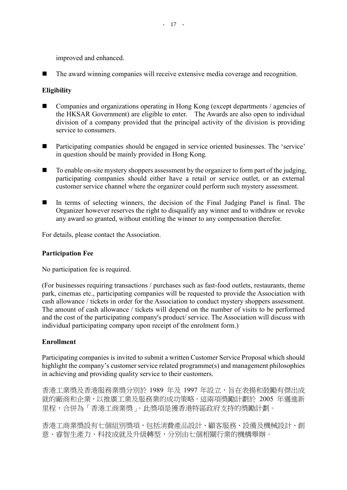improved and enhanced.

The award winning companies will receive extensive media coverage and recognition.

### **Eligibility**

- Companies and organizations operating in Hong Kong (except departments / agencies of the HKSAR Government) are eligible to enter. The Awards are also open to individual division of a company provided that the principal activity of the division is providing service to consumers.
- Participating companies should be engaged in service oriented businesses. The 'service' in question should be mainly provided in Hong Kong.
- To enable on-site mystery shoppers assessment by the organizer to form part of the judging, participating companies should either have a retail or service outlet, or an external customer service channel where the organizer could perform such mystery assessment.
- In terms of selecting winners, the decision of the Final Judging Panel is final. The Organizer however reserves the right to disqualify any winner and to withdraw or revoke any award so granted, without entitling the winner to any compensation therefor.

For details, please contact the Association.

#### **Participation Fee**

No participation fee is required.

(For businesses requiring transactions / purchases such as fast-food outlets, restaurants, theme park, cinemas etc., participating companies will be requested to provide the Association with cash allowance / tickets in order for the Association to conduct mystery shoppers assessment. The amount of cash allowance / tickets will depend on the number of visits to be performed and the cost of the participating company's product/ service. The Association will discuss with individual participating company upon receipt of the enrolment form.)

#### **Enrollment**

Participating companies is invited to submit a written Customer Service Proposal which should highlight the company's customer service related programme(s) and management philosophies in achieving and providing quality service to their customers.

香港工業獎及香港服務業獎分別於 1989 年及 1997 年設立,旨在表揚和鼓勵有傑出成 就的廠商和企業,以推廣工業及服務業的成功策略。這兩項獎勵計劃於 2005 年邁進新 里程,合併為「香港工商業獎」。此獎項是獲香港特區政府支持的獎勵計劃。

香港工商業獎設有七個組別獎項,包括消費產品設計、顧客服務、設備及機械設計、創 意、睿智生產力、科技成就及升級轉型,分別由七個相關行業的機構舉辦。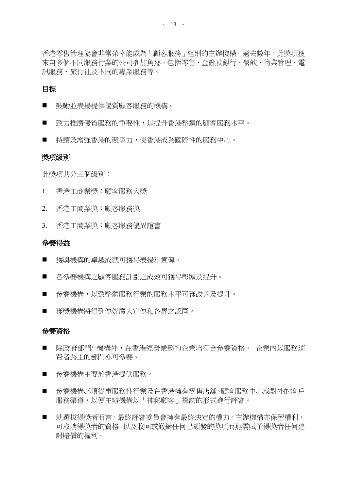香港零售管理協會非常榮幸能成為「顧客服務」組別的主辦機構。過去數年,此獎項獲 來自多個不同服務行業的公司參加角逐,包括零售、金融及銀行、餐飲、物業管理、電 訊服務、旅行社及不同的專業服務等。

#### 目標

- 詩勵並表揚提供優質顧客服務的機構。
- 致力推廣優質服務的重要性,以提升香港整體的顧客服務水平。
- 持續及增強香港的競爭力,使香港成為國際性的服務中心。

#### 獎項級別

此獎項共分三個級別:

- 1. 香港工商業獎:顧客服務大獎
- 2. 香港工商業獎:顧客服務獎
- 3. 香港工商業獎:顧客服務優異證書

#### 參賽得益

- 獲獎機構的卓越成就可獲得表揚和宣傳。
- 各參賽機構之顧客服務計劃之成效可獲得彰顯及提升。
- 參賽機構,以致整體服務行業的服務水平可獲改善及提升。
- 獲獎機構將得到傳媒廣大宣傳和各界之認同。

#### 參賽資格

- 除政府部門/ 機構外,在香港經營業務的企業均符合參賽資格。 企業內以服務消 費者為主的部門亦可參賽。
- 參賽機構主要於香港提供服務。
- 參賽機構必須從事服務性行業及在香港擁有零售店舖、顧客服務中心或對外的客戶 服務渠道,以便主辦機構以「神秘顧客」探訪的形式進行評審。
- 就選拔得獎者而言,最終評審委員會擁有最終決定的權力。主辦機構亦保留權利, 可取消得獎者的資格,以及收回或撤銷任何已頒發的獎項而無需賦予得獎者任何追 討賠償的權利。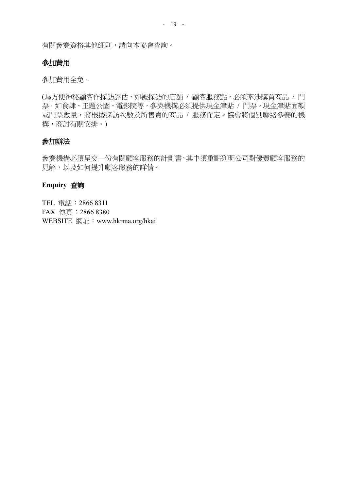有關參賽資格其他細則,請向本協會查詢。

#### 參加費用

參加費用全免。

(為方便神秘顧客作探訪評估,如被探訪的店舖 / 顧客服務點,必須牽涉購買商品 / 門 票,如食肆、主題公園、電影院等,參與機構必須提供現金津貼 / 門票。現金津貼面額 或門票數量,將根據探訪次數及所售賣的商品 / 服務而定。協會將個別聯絡參賽的機 構,商討有關安排。)

#### 參加辦法

參賽機構必須呈交一份有關顧客服務的計劃書,其中須重點列明公司對優質顧客服務的 見解,以及如何提升顧客服務的詳情。

#### **Enquiry** 查詢

TEL 電話:2866 8311 FAX 傳真:2866 8380 WEBSITE 網址: www.hkrma.org/hkai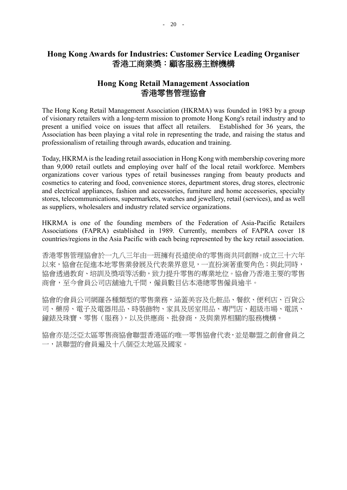## **Hong Kong Awards for Industries: Customer Service Leading Organiser** 香港工商業獎:顧客服務主辦機構

## **Hong Kong Retail Management Association** 香港零售管理協會

The Hong Kong Retail Management Association (HKRMA) was founded in 1983 by a group of visionary retailers with a long-term mission to promote Hong Kong's retail industry and to present a unified voice on issues that affect all retailers. Established for 36 years, the Association has been playing a vital role in representing the trade, and raising the status and professionalism of retailing through awards, education and training.

Today, HKRMA is the leading retail association in Hong Kong with membership covering more than 9,000 retail outlets and employing over half of the local retail workforce. Members organizations cover various types of retail businesses ranging from beauty products and cosmetics to catering and food, convenience stores, department stores, drug stores, electronic and electrical appliances, fashion and accessories, furniture and home accessories, specialty stores, telecommunications, supermarkets, watches and jewellery, retail (services), and as well as suppliers, wholesalers and industry related service organizations.

HKRMA is one of the founding members of the Federation of Asia-Pacific Retailers Associations (FAPRA) established in 1989. Currently, members of FAPRA cover 18 countries/regions in the Asia Pacific with each being represented by the key retail association.

香港零售管理協會於一九八三年由一班擁有長遠使命的零售商共同創辦。成立三十六年 以來,協會在促進本地零售業發展及代表業界意見,一直扮演著重要角色;與此同時, 協會透過教育、培訓及獎項等活動,致力提升零售的專業地位。協會乃香港主要的零售 商會,至今會員公司店舖逾九千間,僱員數目佔本港總零售僱員逾半。

協會的會員公司網羅各種類型的零售業務,涵蓋美容及化粧品、餐飲、便利店、百貨公 司、藥房、電子及電器用品、時裝飾物、家具及居室用品、專門店、超級市場、電訊、 鐘錶及珠寶、零售(服務),以及供應商、批發商,及與業界相關的服務機構。

協會亦是泛亞太區零售商協會聯盟香港區的唯一零售協會代表,並是聯盟之創會會員之 一,該聯盟的會員遍及十八個亞太地區及國家。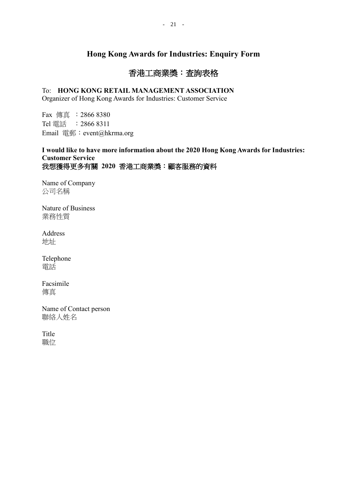## **Hong Kong Awards for Industries: Enquiry Form**

## 香港工商業獎:查詢表格

### To: **HONG KONG RETAIL MANAGEMENT ASSOCIATION**

Organizer of Hong Kong Awards for Industries: Customer Service

Fax 傳真 :2866 8380 Tel 電話 :2866 8311 Email 電郵: event@hkrma.org

### **I would like to have more information about the 2020 Hong Kong Awards for Industries: Customer Service** 我想獲得更多有關 **2020** 香港工商業獎:顧客服務的資料

Name of Company 公司名稱

Nature of Business 業務性質

Address 地址

Telephone 電話

Facsimile 傳真

Name of Contact person 聯絡人姓名

Title 職位